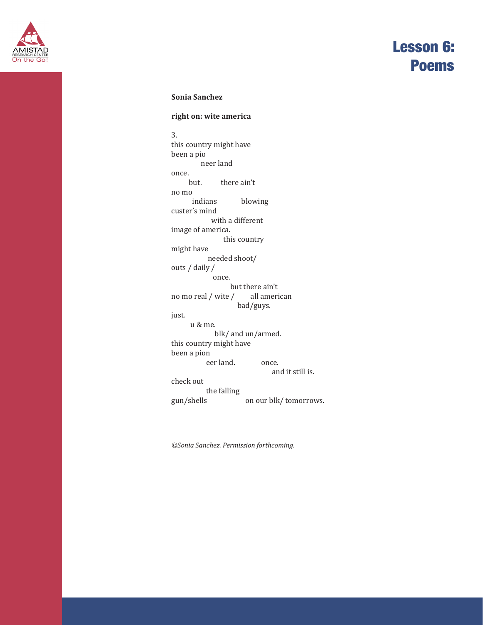

### **Sonia Sanchez**

#### **right on: wite america**

3. this country might have been a pio neer land once.<br>but. there ain't no mo blowing custer's mind with a different image of america. this country might have needed shoot/ outs / daily / once. but there ain't<br>/ all american no mo real  $/$  wite  $/$ bad/guys. just. u & me. blk/ and un/armed. this country might have been a pion eer land. once. and it still is. check out the falling<br>gun/shells on our blk/ tomorrows.

*©Sonia Sanchez. Permission forthcoming.*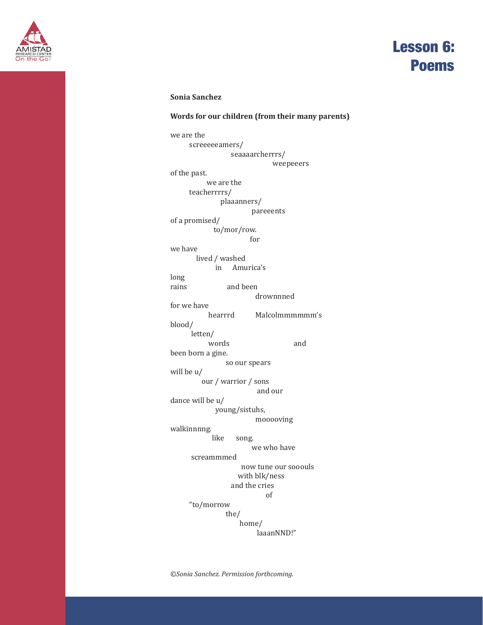

### **Sonia Sanchez**

### **Words for our children (from their many parents)**

we are the screeeeeamers/ seaaaarcherrrs/ weepeeers of the past. we are the teacherrrrs/ plaaanners/ pareeents of a promised/ to/mor/row. for we have lived / washed in Amurica's long<br>rains and been drownnned for we have Malcolmmmmmm's blood/ letten/ words and been born a gine. so our spears will be u/ our / warrior / sons and our dance will be u/ young/sistuhs, mooooving walkinnnng. song. we who have screammmed now tune our sooouls with blk/ness and the cries of "to/morrow the/ home/ laaanNND!"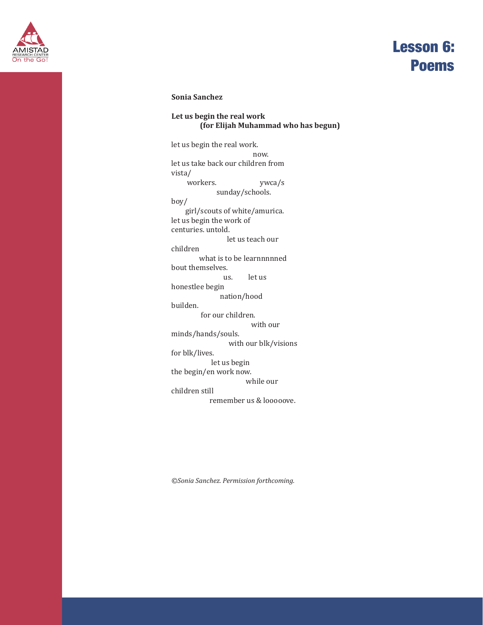

### **Sonia Sanchez**

### **Let us begin the real work (for Elijah Muhammad who has begun)**

let us begin the real work. now. let us take back our children from vista/ workers. ywca/s sunday/schools. boy/ girl/scouts of white/amurica. let us begin the work of centuries. untold. let us teach our children what is to be learnnnnned bout themselves.<br>us. let us. honestlee begin nation/hood builden. for our children. with our minds/hands/souls. with our blk/visions for blk/lives. let us begin the begin/en work now. while our children still remember us & looooove.

*©Sonia Sanchez. Permission forthcoming.*